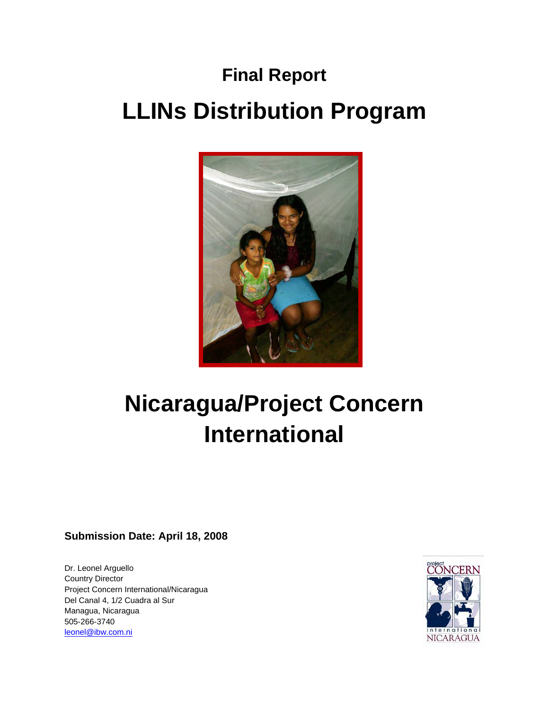# **Final Report LLINs Distribution Program**



# **Nicaragua/Project Concern International**

# **Submission Date: April 18, 2008**

Dr. Leonel Arguello Country Director Project Concern International/Nicaragua Del Canal 4, 1/2 Cuadra al Sur Managua, Nicaragua 505-266-3740 leonel@ibw.com.ni

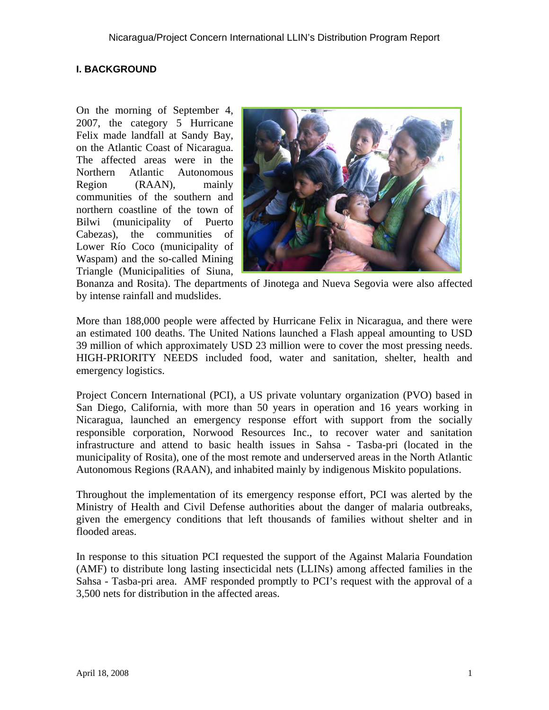# **I. BACKGROUND**

On the morning of September 4, 2007, the category 5 Hurricane Felix made landfall at Sandy Bay, on the Atlantic Coast of Nicaragua. The affected areas were in the Northern Atlantic Autonomous Region (RAAN), mainly communities of the southern and northern coastline of the town of Bilwi (municipality of Puerto Cabezas), the communities of Lower Río Coco (municipality of Waspam) and the so-called Mining Triangle (Municipalities of Siuna,



Bonanza and Rosita). The departments of Jinotega and Nueva Segovia were also affected by intense rainfall and mudslides.

More than 188,000 people were affected by Hurricane Felix in Nicaragua, and there were an estimated 100 deaths. The United Nations launched a Flash appeal amounting to USD 39 million of which approximately USD 23 million were to cover the most pressing needs. HIGH-PRIORITY NEEDS included food, water and sanitation, shelter, health and emergency logistics.

Project Concern International (PCI), a US private voluntary organization (PVO) based in San Diego, California, with more than 50 years in operation and 16 years working in Nicaragua, launched an emergency response effort with support from the socially responsible corporation, Norwood Resources Inc., to recover water and sanitation infrastructure and attend to basic health issues in Sahsa - Tasba-pri (located in the municipality of Rosita), one of the most remote and underserved areas in the North Atlantic Autonomous Regions (RAAN), and inhabited mainly by indigenous Miskito populations.

Throughout the implementation of its emergency response effort, PCI was alerted by the Ministry of Health and Civil Defense authorities about the danger of malaria outbreaks, given the emergency conditions that left thousands of families without shelter and in flooded areas.

In response to this situation PCI requested the support of the Against Malaria Foundation (AMF) to distribute long lasting insecticidal nets (LLINs) among affected families in the Sahsa - Tasba-pri area. AMF responded promptly to PCI's request with the approval of a 3,500 nets for distribution in the affected areas.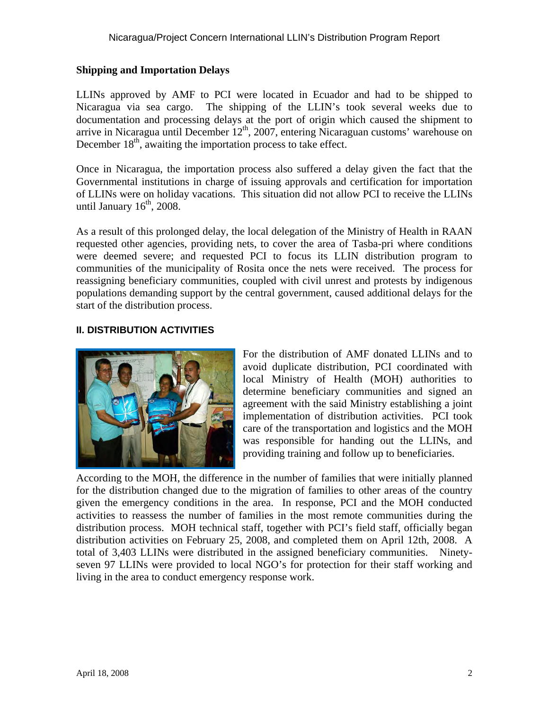### **Shipping and Importation Delays**

LLINs approved by AMF to PCI were located in Ecuador and had to be shipped to Nicaragua via sea cargo. The shipping of the LLIN's took several weeks due to documentation and processing delays at the port of origin which caused the shipment to arrive in Nicaragua until December 12<sup>th</sup>, 2007, entering Nicaraguan customs' warehouse on December  $18<sup>th</sup>$ , awaiting the importation process to take effect.

Once in Nicaragua, the importation process also suffered a delay given the fact that the Governmental institutions in charge of issuing approvals and certification for importation of LLINs were on holiday vacations. This situation did not allow PCI to receive the LLINs until January  $16<sup>th</sup>$ , 2008.

As a result of this prolonged delay, the local delegation of the Ministry of Health in RAAN requested other agencies, providing nets, to cover the area of Tasba-pri where conditions were deemed severe; and requested PCI to focus its LLIN distribution program to communities of the municipality of Rosita once the nets were received. The process for reassigning beneficiary communities, coupled with civil unrest and protests by indigenous populations demanding support by the central government, caused additional delays for the start of the distribution process.

### **II. DISTRIBUTION ACTIVITIES**



For the distribution of AMF donated LLINs and to avoid duplicate distribution, PCI coordinated with local Ministry of Health (MOH) authorities to determine beneficiary communities and signed an agreement with the said Ministry establishing a joint implementation of distribution activities. PCI took care of the transportation and logistics and the MOH was responsible for handing out the LLINs, and providing training and follow up to beneficiaries.

According to the MOH, the difference in the number of families that were initially planned for the distribution changed due to the migration of families to other areas of the country given the emergency conditions in the area. In response, PCI and the MOH conducted activities to reassess the number of families in the most remote communities during the distribution process. MOH technical staff, together with PCI's field staff, officially began distribution activities on February 25, 2008, and completed them on April 12th, 2008. A total of 3,403 LLINs were distributed in the assigned beneficiary communities. Ninetyseven 97 LLINs were provided to local NGO's for protection for their staff working and living in the area to conduct emergency response work.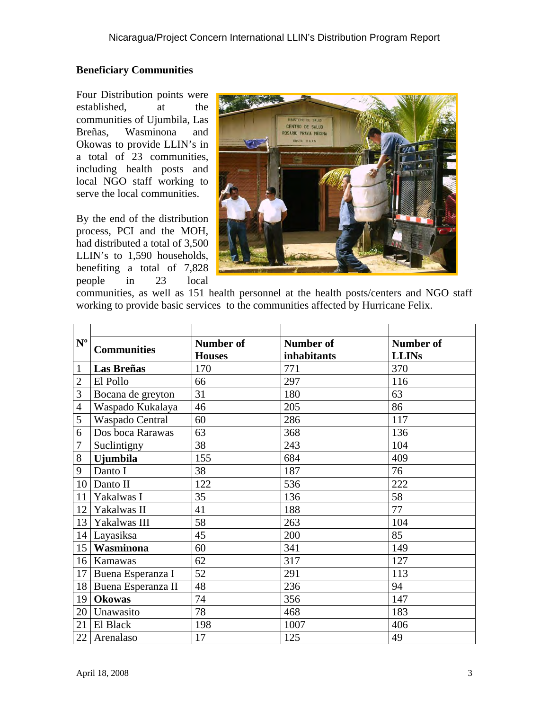# **Beneficiary Communities**

Four Distribution points were established, at the communities of Ujumbila, Las Breñas, Wasminona and Okowas to provide LLIN's in a total of 23 communities, including health posts and local NGO staff working to serve the local communities.

By the end of the distribution process, PCI and the MOH, had distributed a total of 3,500 LLIN's to 1,590 households, benefiting a total of 7,828 people in 23 local



communities, as well as 151 health personnel at the health posts/centers and NGO staff working to provide basic services to the communities affected by Hurricane Felix.

| $N^{\mathrm{o}}$ | <b>Communities</b>    | <b>Number of</b> | Number of   | <b>Number of</b> |
|------------------|-----------------------|------------------|-------------|------------------|
|                  |                       | <b>Houses</b>    | inhabitants | <b>LLINs</b>     |
| $\mathbf{1}$     | <b>Las Breñas</b>     | 170              | 771         | 370              |
| $\overline{2}$   | El Pollo              | 66               | 297         | 116              |
| 3                | Bocana de greyton     | 31               | 180         | 63               |
| $\overline{4}$   | Waspado Kukalaya      | 46               | 205         | 86               |
| 5                | Waspado Central       | 60               | 286         | 117              |
| 6                | Dos boca Rarawas      | 63               | 368         | 136              |
| 7                | Suclintigny           | 38               | 243         | 104              |
| 8                | <b>U</b> jumbila      | 155              | 684         | 409              |
| 9                | Danto I               | 38               | 187         | 76               |
| 10               | Danto II              | 122              | 536         | 222              |
| 11               | Yakalwas I            | 35               | 136         | 58               |
|                  | 12 Yakalwas II        | 41               | 188         | 77               |
| 13               | Yakalwas III          | 58               | 263         | 104              |
|                  | 14 Layasiksa          | 45               | 200         | 85               |
| 15               | <b>Wasminona</b>      | 60               | 341         | 149              |
|                  | 16 Kamawas            | 62               | 317         | 127              |
| 17               | Buena Esperanza I     | 52               | 291         | 113              |
|                  | 18 Buena Esperanza II | 48               | 236         | 94               |
| 19               | <b>Okowas</b>         | 74               | 356         | 147              |
| 20               | Unawasito             | 78               | 468         | 183              |
| 21               | El Black              | 198              | 1007        | 406              |
|                  | 22 Arenalaso          | 17               | 125         | 49               |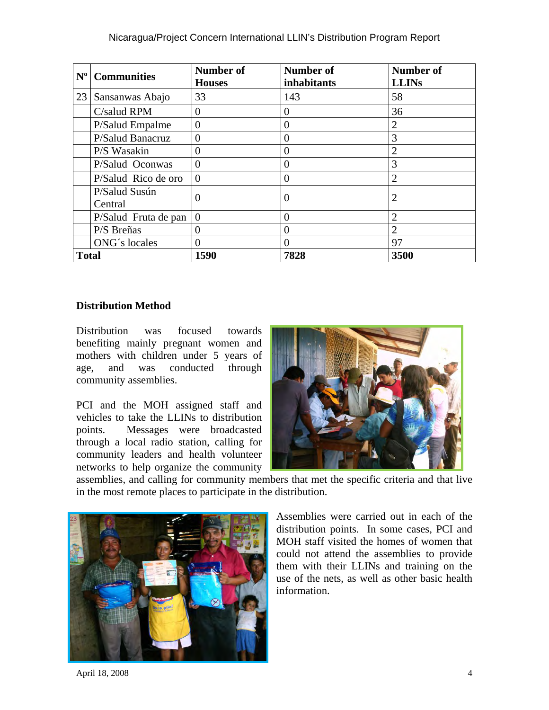#### Nicaragua/Project Concern International LLIN's Distribution Program Report

| $N^{\rm o}$  | <b>Communities</b>       | Number of<br><b>Houses</b> | <b>Number of</b><br>inhabitants | <b>Number of</b><br><b>LLINs</b> |
|--------------|--------------------------|----------------------------|---------------------------------|----------------------------------|
| 23           | Sansanwas Abajo          | 33                         | 143                             | 58                               |
|              | C/salud RPM              | $\Omega$                   | $\theta$                        | 36                               |
|              | P/Salud Empalme          | 0                          | $\theta$                        | $\overline{2}$                   |
|              | P/Salud Banacruz         | $\theta$                   | $\theta$                        | 3                                |
|              | P/S Wasakin              | 0                          | 0                               | $\overline{2}$                   |
|              | P/Salud Oconwas          | 0                          | $\Omega$                        | 3                                |
|              | P/Salud Rico de oro      | $\theta$                   | $\theta$                        | $\overline{2}$                   |
|              | P/Salud Susún<br>Central | 0                          | $\left( \right)$                | 2                                |
|              | P/Salud Fruta de pan     | $\theta$                   | $\Omega$                        | $\overline{2}$                   |
|              | P/S Breñas               | 0                          | $\theta$                        | $\overline{2}$                   |
|              | ONG's locales            | 0                          | $\theta$                        | 97                               |
| <b>Total</b> |                          | 1590                       | 7828                            | 3500                             |

#### **Distribution Method**

Distribution was focused towards benefiting mainly pregnant women and mothers with children under 5 years of age, and was conducted through community assemblies.

PCI and the MOH assigned staff and vehicles to take the LLINs to distribution points. Messages were broadcasted through a local radio station, calling for community leaders and health volunteer networks to help organize the community



assemblies, and calling for community members that met the specific criteria and that live in the most remote places to participate in the distribution.



Assemblies were carried out in each of the distribution points. In some cases, PCI and MOH staff visited the homes of women that could not attend the assemblies to provide them with their LLINs and training on the use of the nets, as well as other basic health information.

April 18, 2008 4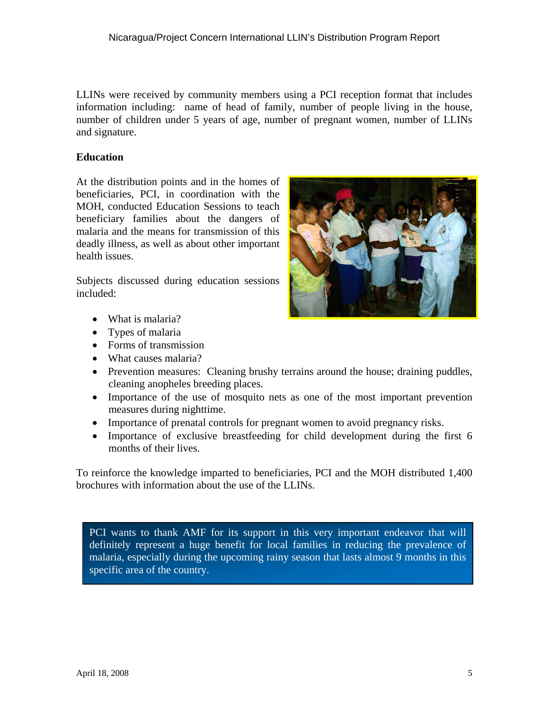LLINs were received by community members using a PCI reception format that includes information including: name of head of family, number of people living in the house, number of children under 5 years of age, number of pregnant women, number of LLINs and signature.

#### **Education**

At the distribution points and in the homes of beneficiaries, PCI, in coordination with the MOH, conducted Education Sessions to teach beneficiary families about the dangers of malaria and the means for transmission of this deadly illness, as well as about other important health issues.

Subjects discussed during education sessions included:

- What is malaria?
- Types of malaria
- Forms of transmission
- What causes malaria?
- Prevention measures: Cleaning brushy terrains around the house; draining puddles, cleaning anopheles breeding places.
- Importance of the use of mosquito nets as one of the most important prevention measures during nighttime.
- Importance of prenatal controls for pregnant women to avoid pregnancy risks.
- Importance of exclusive breastfeeding for child development during the first 6 months of their lives.

To reinforce the knowledge imparted to beneficiaries, PCI and the MOH distributed 1,400 brochures with information about the use of the LLINs.

PCI wants to thank AMF for its support in this very important endeavor that will definitely represent a huge benefit for local families in reducing the prevalence of malaria, especially during the upcoming rainy season that lasts almost 9 months in this specific area of the country.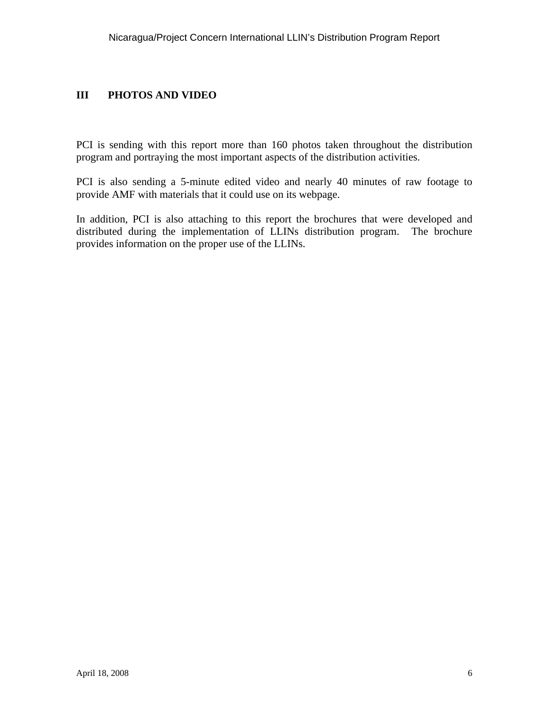# **III PHOTOS AND VIDEO**

PCI is sending with this report more than 160 photos taken throughout the distribution program and portraying the most important aspects of the distribution activities.

PCI is also sending a 5-minute edited video and nearly 40 minutes of raw footage to provide AMF with materials that it could use on its webpage.

In addition, PCI is also attaching to this report the brochures that were developed and distributed during the implementation of LLINs distribution program. The brochure provides information on the proper use of the LLINs.